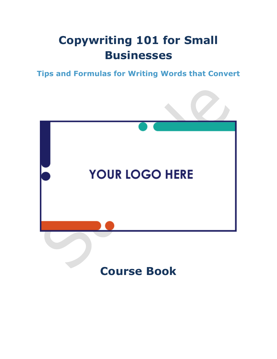## **Copywriting 101 for Small Businesses**

**Tips and Formulas for Writing Words that Convert**

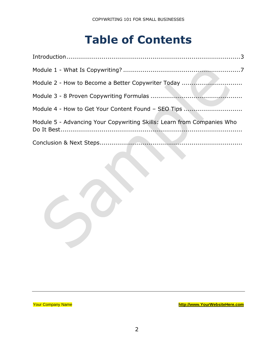### **Table of Contents**

| Module 2 - How to Become a Better Copywriter Today                     |  |
|------------------------------------------------------------------------|--|
|                                                                        |  |
| Module 4 - How to Get Your Content Found - SEO Tips                    |  |
| Module 5 - Advancing Your Copywriting Skills: Learn from Companies Who |  |
|                                                                        |  |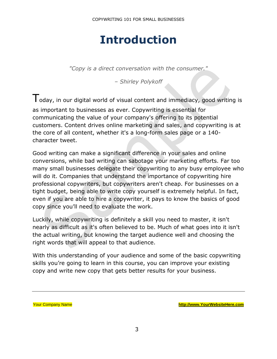### **Introduction**

*"Copy is a direct conversation with the consumer."*

*– Shirley Polykoff*

 $\mathsf{T}_{\mathsf{oday}}$ , in our digital world of visual content and immediacy, good writing is as important to businesses as ever. Copywriting is essential for communicating the value of your company's offering to its potential customers. Content drives online marketing and sales, and copywriting is at the core of all content, whether it's a long-form sales page or a 140 character tweet.

Good writing can make a significant difference in your sales and online conversions, while bad writing can sabotage your marketing efforts. Far too many small businesses delegate their copywriting to any busy employee who will do it. Companies that understand the importance of copywriting hire professional copywriters, but copywriters aren't cheap. For businesses on a tight budget, being able to write copy yourself is extremely helpful. In fact, even if you are able to hire a copywriter, it pays to know the basics of good copy since you'll need to evaluate the work.

Luckily, while copywriting is definitely a skill you need to master, it isn't nearly as difficult as it's often believed to be. Much of what goes into it isn't the actual writing, but knowing the target audience well and choosing the right words that will appeal to that audience.

With this understanding of your audience and some of the basic copywriting skills you're going to learn in this course, you can improve your existing copy and write new copy that gets better results for your business.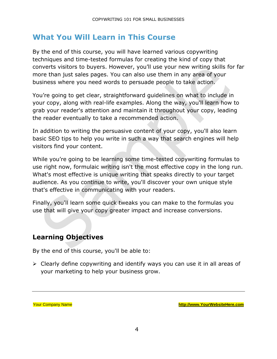#### **What You Will Learn in This Course**

By the end of this course, you will have learned various copywriting techniques and time-tested formulas for creating the kind of copy that converts visitors to buyers. However, you'll use your new writing skills for far more than just sales pages. You can also use them in any area of your business where you need words to persuade people to take action.

You're going to get clear, straightforward guidelines on what to include in your copy, along with real-life examples. Along the way, you'll learn how to grab your reader's attention and maintain it throughout your copy, leading the reader eventually to take a recommended action.

In addition to writing the persuasive content of your copy, you'll also learn basic SEO tips to help you write in such a way that search engines will help visitors find your content.

While you're going to be learning some time-tested copywriting formulas to use right now, formulaic writing isn't the most effective copy in the long run. What's most effective is unique writing that speaks directly to your target audience. As you continue to write, you'll discover your own unique style that's effective in communicating with your readers.

Finally, you'll learn some quick tweaks you can make to the formulas you use that will give your copy greater impact and increase conversions.

#### **Learning Objectives**

By the end of this course, you'll be able to:

➢ Clearly define copywriting and identify ways you can use it in all areas of your marketing to help your business grow.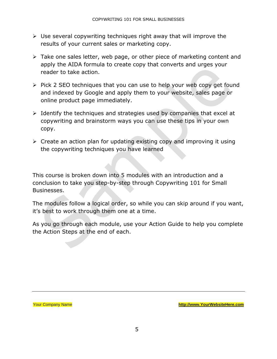- ➢ Use several copywriting techniques right away that will improve the results of your current sales or marketing copy.
- ➢ Take one sales letter, web page, or other piece of marketing content and apply the AIDA formula to create copy that converts and urges your reader to take action.
- ➢ Pick 2 SEO techniques that you can use to help your web copy get found and indexed by Google and apply them to your website, sales page or online product page immediately.
- ➢ Identify the techniques and strategies used by companies that excel at copywriting and brainstorm ways you can use these tips in your own copy.
- ➢ Create an action plan for updating existing copy and improving it using the copywriting techniques you have learned

This course is broken down into 5 modules with an introduction and a conclusion to take you step-by-step through Copywriting 101 for Small Businesses.

The modules follow a logical order, so while you can skip around if you want, it's best to work through them one at a time.

As you go through each module, use your Action Guide to help you complete the Action Steps at the end of each.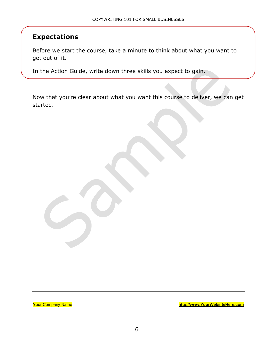#### **Expectations**

Before we start the course, take a minute to think about what you want to get out of it.

In the Action Guide, write down three skills you expect to gain.

Now that you're clear about what you want this course to deliver, we can get started.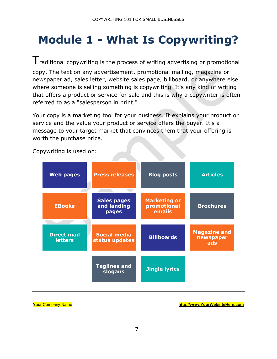## **Module 1 - What Is Copywriting?**

 $T$ raditional copywriting is the process of writing advertising or promotional copy. The text on any advertisement, promotional mailing, magazine or newspaper ad, sales letter, website sales page, billboard, or anywhere else

where someone is selling something is copywriting. It's any kind of writing that offers a product or service for sale and this is why a copywriter is often referred to as a "salesperson in print."

Your copy is a marketing tool for your business. It explains your product or service and the value your product or service offers the buyer. It's a message to your target market that convinces them that your offering is worth the purchase price.

| <b>Web pages</b>                     | <b>Press releases</b>                      | <b>Blog posts</b>                            | <b>Articles</b>                         |
|--------------------------------------|--------------------------------------------|----------------------------------------------|-----------------------------------------|
|                                      |                                            |                                              |                                         |
| <b>EBooks</b>                        | <b>Sales pages</b><br>and landing<br>pages | <b>Marketing or</b><br>promotional<br>emails | <b>Brochures</b>                        |
|                                      |                                            |                                              |                                         |
| <b>Direct mail</b><br><b>letters</b> | <b>Social media</b><br>status updates      | <b>Billboards</b>                            | <b>Magazine and</b><br>newspaper<br>ads |
|                                      | <b>Taglines and</b><br>slogans             | <b>Jingle lyrics</b>                         |                                         |

Copywriting is used on: